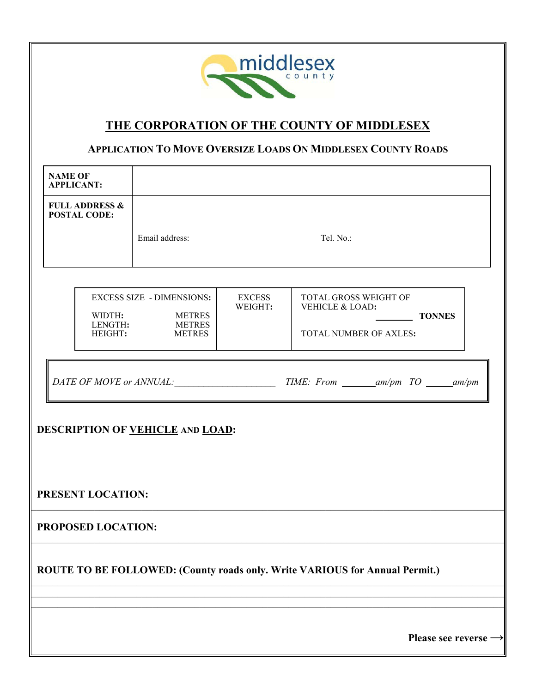

## **THE CORPORATION OF THE COUNTY OF MIDDLESEX**

## **APPLICATION TO MOVE OVERSIZE LOADS ON MIDDLESEX COUNTY ROADS**

| <b>NAME OF</b>                                                              | <b>APPLICANT:</b>                                |                                                                                       |                          |                                                                                     |  |  |  |
|-----------------------------------------------------------------------------|--------------------------------------------------|---------------------------------------------------------------------------------------|--------------------------|-------------------------------------------------------------------------------------|--|--|--|
|                                                                             | <b>FULL ADDRESS &amp;</b><br><b>POSTAL CODE:</b> |                                                                                       |                          |                                                                                     |  |  |  |
|                                                                             |                                                  | Email address:                                                                        |                          | Tel. No.:                                                                           |  |  |  |
|                                                                             |                                                  | <b>EXCESS SIZE - DIMENSIONS:</b><br>WIDTH: METRES<br>LENGTH: METRES<br>HEIGHT: METRES | <b>EXCESS</b><br>WEIGHT: | TOTAL GROSS WEIGHT OF<br>VEHICLE & LOAD:<br><b>TONNES</b><br>TOTAL NUMBER OF AXLES: |  |  |  |
| DESCRIPTION OF VEHICLE AND LOAD:                                            |                                                  |                                                                                       |                          |                                                                                     |  |  |  |
| PRESENT LOCATION:                                                           |                                                  |                                                                                       |                          |                                                                                     |  |  |  |
| PROPOSED LOCATION:                                                          |                                                  |                                                                                       |                          |                                                                                     |  |  |  |
| ROUTE TO BE FOLLOWED: (County roads only. Write VARIOUS for Annual Permit.) |                                                  |                                                                                       |                          |                                                                                     |  |  |  |
|                                                                             |                                                  |                                                                                       |                          |                                                                                     |  |  |  |
|                                                                             |                                                  |                                                                                       |                          | Please see reverse $\rightarrow$                                                    |  |  |  |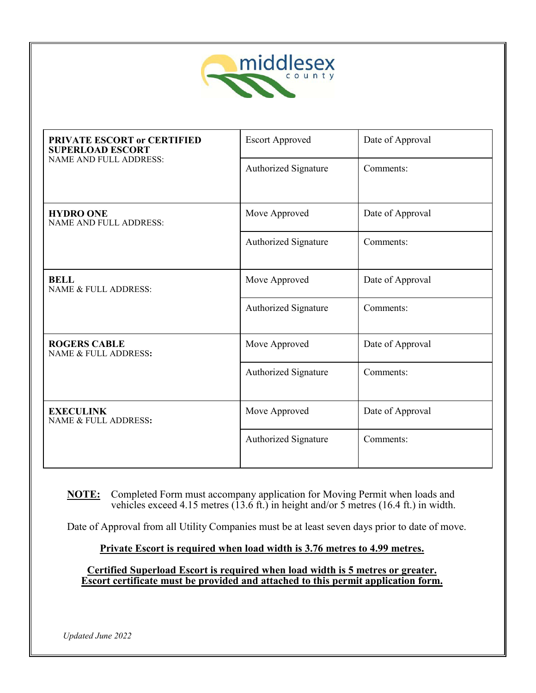

| PRIVATE ESCORT or CERTIFIED<br><b>SUPERLOAD ESCORT</b> | <b>Escort Approved</b> | Date of Approval |  |
|--------------------------------------------------------|------------------------|------------------|--|
| <b>NAME AND FULL ADDRESS:</b>                          | Authorized Signature   | Comments:        |  |
| <b>HYDRO ONE</b><br><b>NAME AND FULL ADDRESS:</b>      | Move Approved          | Date of Approval |  |
|                                                        | Authorized Signature   | Comments:        |  |
| <b>BELL</b><br>NAME & FULL ADDRESS:                    | Move Approved          | Date of Approval |  |
|                                                        | Authorized Signature   | Comments:        |  |
| <b>ROGERS CABLE</b><br>NAME & FULL ADDRESS:            | Move Approved          | Date of Approval |  |
|                                                        | Authorized Signature   | Comments:        |  |
| <b>EXECULINK</b><br>NAME & FULL ADDRESS:               | Move Approved          | Date of Approval |  |
|                                                        | Authorized Signature   | Comments:        |  |

**NOTE:** Completed Form must accompany application for Moving Permit when loads and vehicles exceed 4.15 metres (13.6 ft.) in height and/or 5 metres (16.4 ft.) in width.

Date of Approval from all Utility Companies must be at least seven days prior to date of move.

## **Private Escort is required when load width is 3.76 metres to 4.99 metres.**

**Certified Superload Escort is required when load width is 5 metres or greater. Escort certificate must be provided and attached to this permit application form.** 

*Updated June 2022*